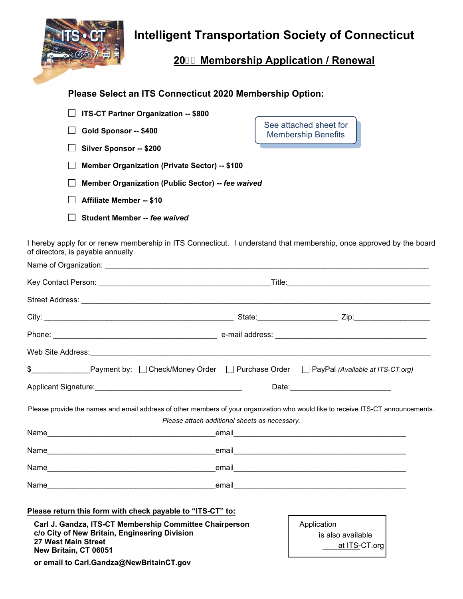

## **Intelligent Transportation Society of Connecticut**

## **20 Membership Application / Renewal**

## **Please Select an ITS Connecticut 2020 Membership Option:**

| ITS-CT Partner Organization -- \$800                 |                                                      |
|------------------------------------------------------|------------------------------------------------------|
| Gold Sponsor -- \$400                                | See attached sheet for<br><b>Membership Benefits</b> |
| Silver Sponsor -- \$200                              |                                                      |
| <b>Member Organization (Private Sector) -- \$100</b> |                                                      |
| Member Organization (Public Sector) -- fee waived    |                                                      |
| <b>Affiliate Member -- \$10</b>                      |                                                      |
| Student Member -- fee waived                         |                                                      |

I hereby apply for or renew membership in ITS Connecticut. I understand that membership, once approved by the board of directors, is payable annually.

|                                                                                                                       | Date: 2008 2010 2010 2021 2022 2023 2024 2022 2022 2023 2024 2022 2023 2024 2022 2023 2024 2025 2026 2027 2028                   |  |  |  |  |
|-----------------------------------------------------------------------------------------------------------------------|----------------------------------------------------------------------------------------------------------------------------------|--|--|--|--|
| Please attach additional sheets as necessary.                                                                         | Please provide the names and email address of other members of your organization who would like to receive ITS-CT announcements. |  |  |  |  |
|                                                                                                                       |                                                                                                                                  |  |  |  |  |
|                                                                                                                       |                                                                                                                                  |  |  |  |  |
|                                                                                                                       |                                                                                                                                  |  |  |  |  |
| Please return this form with check payable to "ITS-CT" to:<br>Carl J. Gandza, ITS-CT Membership Committee Chairperson | Application<br>is also available<br>at ITS-CT.org                                                                                |  |  |  |  |
|                                                                                                                       |                                                                                                                                  |  |  |  |  |
|                                                                                                                       |                                                                                                                                  |  |  |  |  |